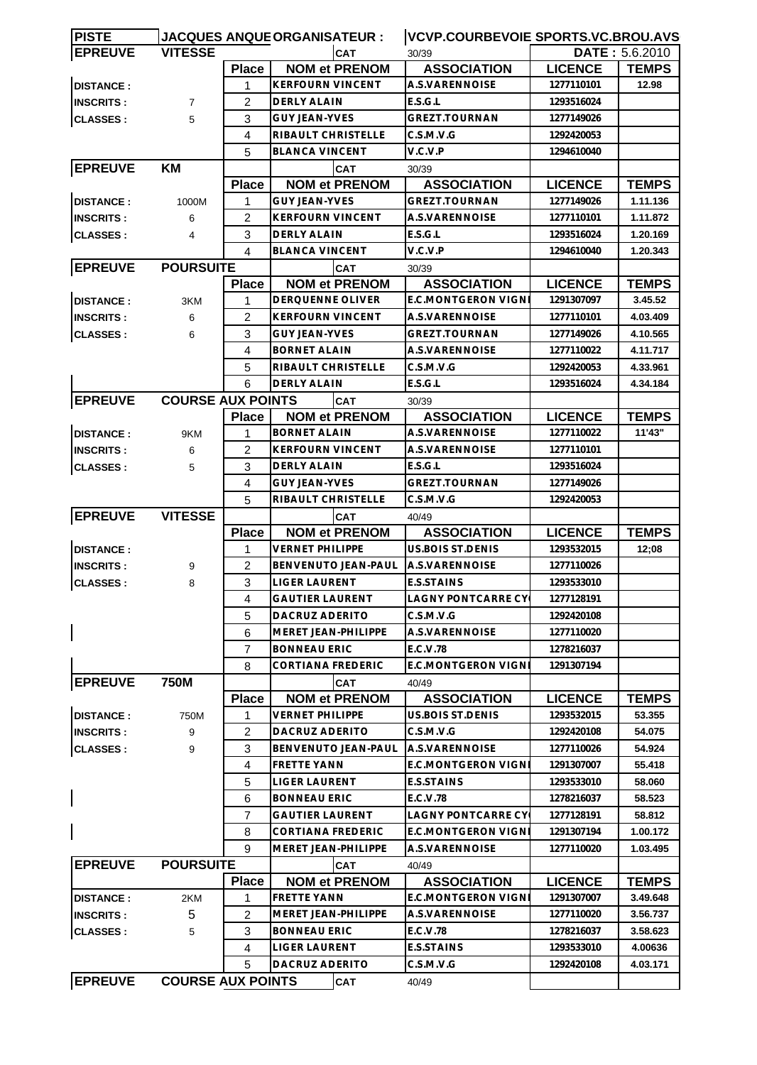|                                                                                                                                                         |                          |                   | JACQUES ANQUEORGANISATEUR :             | <b>VCVP.COURBEVOIE SPORTS.VC.BROU.AVS</b> |                              |                        |  |
|---------------------------------------------------------------------------------------------------------------------------------------------------------|--------------------------|-------------------|-----------------------------------------|-------------------------------------------|------------------------------|------------------------|--|
| <b>EPREUVE</b>                                                                                                                                          | <b>VITESSE</b>           |                   | <b>CAT</b>                              | 30/39                                     |                              | <b>DATE: 5.6.2010</b>  |  |
|                                                                                                                                                         |                          | <b>Place</b>      | <b>NOM et PRENOM</b>                    | <b>ASSOCIATION</b>                        | <b>LICENCE</b>               | <b>TEMPS</b>           |  |
| <b>DISTANCE:</b>                                                                                                                                        |                          | 1                 | <b>KERFOURN VINCENT</b>                 | A.S.VARENNOISE                            | 1277110101                   | 12.98                  |  |
| <b>INSCRITS:</b>                                                                                                                                        | $\overline{7}$           | 2                 | <b>DERLY ALAIN</b>                      | E.S.G.L                                   | 1293516024                   |                        |  |
| <b>CLASSES:</b>                                                                                                                                         | 5                        | 3                 | <b>GUY JEAN-YVES</b>                    | <b>GREZT.TOURNAN</b>                      | 1277149026                   |                        |  |
|                                                                                                                                                         |                          | 4                 | RIBAULT CHRISTELLE                      | C.S.M.V.G                                 | 1292420053                   |                        |  |
|                                                                                                                                                         |                          | 5                 | <b>BLANCA VINCENT</b>                   | V.C.V.P                                   | 1294610040                   |                        |  |
| <b>EPREUVE</b>                                                                                                                                          | KM                       |                   | <b>CAT</b>                              | 30/39                                     |                              |                        |  |
|                                                                                                                                                         |                          | <b>Place</b>      | <b>NOM et PRENOM</b>                    | <b>ASSOCIATION</b>                        | <b>LICENCE</b>               | <b>TEMPS</b>           |  |
| <b>DISTANCE:</b>                                                                                                                                        | 1000M                    | 1                 | <b>GUY JEAN-YVES</b>                    | <b>GREZT.TOURNAN</b>                      | 1277149026                   | 1.11.136               |  |
| <b>INSCRITS:</b>                                                                                                                                        | 6                        | 2                 | <b>KERFOURN VINCENT</b>                 | A.S.VARENNOISE                            | 1277110101                   | 1.11.872               |  |
| <b>CLASSES:</b>                                                                                                                                         | 4                        | 3                 | <b>DERLY ALAIN</b>                      | E.S.G.L                                   | 1293516024                   | 1.20.169               |  |
|                                                                                                                                                         |                          | 4                 | <b>BLANCA VINCENT</b>                   | V.C.V.P                                   | 1294610040                   | 1.20.343               |  |
| <b>EPREUVE</b>                                                                                                                                          | <b>POURSUITE</b>         |                   | <b>CAT</b>                              | 30/39                                     |                              |                        |  |
|                                                                                                                                                         |                          | <b>Place</b>      | <b>NOM et PRENOM</b>                    | <b>ASSOCIATION</b>                        | <b>LICENCE</b>               | <b>TEMPS</b>           |  |
| <b>DISTANCE:</b>                                                                                                                                        | 3KM                      | 1                 | DERQUENNE OLIVER                        | <b>E.C.MONTGERON VIGNI</b>                | 1291307097                   | 3.45.52                |  |
| <b>INSCRITS:</b>                                                                                                                                        | 6                        | 2                 | <b>KERFOURN VINCENT</b>                 | A.S.VARENNOISE                            | 1277110101                   | 4.03.409               |  |
|                                                                                                                                                         | 6                        | 3                 | <b>GUY JEAN-YVES</b>                    | GREZT.TOURNAN                             | 1277149026                   | 4.10.565               |  |
| <b>CLASSES:</b>                                                                                                                                         |                          | 4                 | <b>BORNET ALAIN</b>                     | A.S.VARENNOISE                            | 1277110022                   | 4.11.717               |  |
|                                                                                                                                                         |                          | 5                 | RIBAULT CHRISTELLE                      | C.S.M.V.G                                 | 1292420053                   | 4.33.961               |  |
|                                                                                                                                                         |                          | 6                 | <b>DERLY ALAIN</b>                      | E.S.G.L                                   | 1293516024                   | 4.34.184               |  |
|                                                                                                                                                         |                          |                   |                                         |                                           |                              |                        |  |
| <b>EPREUVE</b>                                                                                                                                          | <b>COURSE AUX POINTS</b> |                   | <b>CAT</b>                              | 30/39                                     |                              |                        |  |
|                                                                                                                                                         |                          | <b>Place</b>      | <b>NOM et PRENOM</b>                    | <b>ASSOCIATION</b>                        | <b>LICENCE</b>               | <b>TEMPS</b>           |  |
| <b>DISTANCE:</b>                                                                                                                                        | 9KM                      | 1                 | <b>BORNET ALAIN</b>                     | A.S.VARENNOISE                            | 1277110022                   | 11'43"                 |  |
| <b>INSCRITS:</b>                                                                                                                                        | 6                        | 2                 | <b>KERFOURN VINCENT</b>                 | A.S.VARENNOISE                            | 1277110101                   |                        |  |
| <b>CLASSES:</b>                                                                                                                                         | 5                        | 3                 | <b>DERLY ALAIN</b>                      | E.S.G.L                                   | 1293516024                   |                        |  |
|                                                                                                                                                         |                          | 4                 | <b>GUY JEAN-YVES</b>                    | GREZT.TOURNAN                             | 1277149026                   |                        |  |
|                                                                                                                                                         |                          | 5                 | RIBAULT CHRISTELLE                      | C.S.M.V.G                                 | 1292420053                   |                        |  |
| <b>EPREUVE</b>                                                                                                                                          | <b>VITESSE</b>           |                   | <b>CAT</b>                              | 40/49                                     |                              |                        |  |
|                                                                                                                                                         |                          | <b>Place</b>      | <b>NOM et PRENOM</b>                    | <b>ASSOCIATION</b>                        | <b>LICENCE</b>               | <b>TEMPS</b>           |  |
| <b>DISTANCE:</b>                                                                                                                                        |                          | 1                 | <b>VERNET PHILIPPE</b>                  | US.BOIS ST.DENIS                          | 1293532015                   | 12;08                  |  |
| <b>INSCRITS:</b>                                                                                                                                        | 9                        | 2                 | BENVENUTO JEAN-PAUL                     | A.S.VARENNOISE                            | 1277110026                   |                        |  |
| <b>CLASSES:</b>                                                                                                                                         | 8                        | 3                 | <b>LIGER LAURENT</b>                    | <b>E.S.STAINS</b>                         | 1293533010                   |                        |  |
|                                                                                                                                                         |                          | $\overline{4}$    | <b>GAUTIER LAURENT</b>                  | <b>LAGNY PONTCARRE CY</b>                 | 1277128191                   |                        |  |
|                                                                                                                                                         |                          | 5                 | DACRUZ ADERITO                          | C.S.M.V.G                                 | 1292420108                   |                        |  |
|                                                                                                                                                         |                          | 6                 | MERET JEAN-PHILIPPE                     | A.S.VARENNOISE                            |                              |                        |  |
|                                                                                                                                                         |                          |                   |                                         |                                           | 1277110020                   |                        |  |
|                                                                                                                                                         |                          | $\overline{7}$    | <b>BONNEAU ERIC</b>                     | E.C.V.78                                  | 1278216037                   |                        |  |
|                                                                                                                                                         |                          | 8                 | CORTIANA FREDERIC                       | <b>E.C.MONTGERON VIGNI</b>                | 1291307194                   |                        |  |
|                                                                                                                                                         |                          |                   |                                         | 40/49                                     |                              |                        |  |
|                                                                                                                                                         | <b>750M</b>              |                   | <b>CAT</b>                              |                                           |                              |                        |  |
|                                                                                                                                                         | 750M                     | <b>Place</b><br>1 | <b>NOM et PRENOM</b><br>VERNET PHILIPPE | <b>ASSOCIATION</b><br>US.BOIS ST.DENIS    | <b>LICENCE</b><br>1293532015 | <b>TEMPS</b><br>53.355 |  |
|                                                                                                                                                         |                          | $\overline{2}$    | DACRUZ ADERITO                          | C.S.M.V.G                                 |                              | 54.075                 |  |
|                                                                                                                                                         | 9                        |                   | <b>BENVENUTO JEAN-PAUL</b>              |                                           | 1292420108<br>1277110026     | 54.924                 |  |
|                                                                                                                                                         | 9                        | 3                 |                                         | A.S.VARENNOISE                            |                              |                        |  |
|                                                                                                                                                         |                          | 4                 | <b>FRETTE YANN</b>                      | E.C.MONTGERON VIGN                        | 1291307007                   | 55.418                 |  |
|                                                                                                                                                         |                          | 5                 | LIGER LAURENT                           | E.S.STAINS                                | 1293533010                   | 58.060                 |  |
|                                                                                                                                                         |                          | 6                 | BONNEAU ERIC                            | E.C.V.78                                  | 1278216037                   | 58.523                 |  |
|                                                                                                                                                         |                          | 7                 | <b>GAUTIER LAURENT</b>                  | <b>LAGNY PONTCARRE CY</b>                 | 1277128191                   | 58.812                 |  |
|                                                                                                                                                         |                          | 8                 | CORTIANA FREDERIC                       | E.C.MONTGERON VIGNI                       | 1291307194                   | 1.00.172               |  |
|                                                                                                                                                         |                          | 9                 | MERET JEAN-PHILIPPE                     | A.S.VARENNOISE                            | 1277110020                   | 1.03.495               |  |
|                                                                                                                                                         | <b>POURSUITE</b>         |                   | <b>CAT</b>                              | 40/49                                     |                              |                        |  |
|                                                                                                                                                         |                          | <b>Place</b>      | <b>NOM et PRENOM</b>                    | <b>ASSOCIATION</b>                        | <b>LICENCE</b>               | <b>TEMPS</b>           |  |
|                                                                                                                                                         | 2KM                      | 1                 | <b>FRETTE YANN</b>                      | E.C.MONTGERON VIGNI                       | 1291307007                   | 3.49.648               |  |
|                                                                                                                                                         | 5                        | 2                 | MERET JEAN-PHILIPPE                     | A.S.VARENNOISE                            | 1277110020                   | 3.56.737               |  |
|                                                                                                                                                         | 5                        | 3                 | <b>BONNEAU ERIC</b>                     | E.C.V.78                                  | 1278216037                   | 3.58.623               |  |
| <b>EPREUVE</b><br><b>DISTANCE:</b><br><b>INSCRITS:</b><br><b>CLASSES:</b><br><b>EPREUVE</b><br><b>DISTANCE :</b><br><b>INSCRITS:</b><br><b>CLASSES:</b> |                          | 4                 | <b>LIGER LAURENT</b>                    | E.S.STAINS                                | 1293533010                   | 4.00636                |  |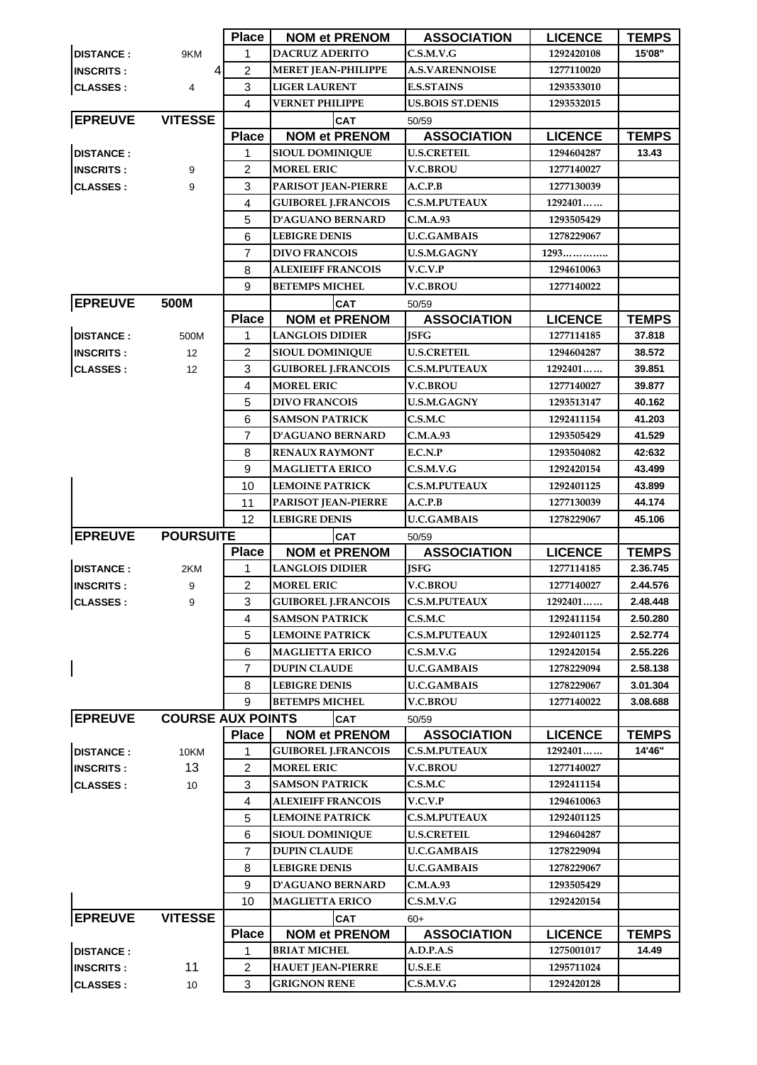|                                     |                          | <b>Place</b>      | <b>NOM et PRENOM</b>                               | <b>ASSOCIATION</b>                         | <b>LICENCE</b>        | <b>TEMPS</b>           |
|-------------------------------------|--------------------------|-------------------|----------------------------------------------------|--------------------------------------------|-----------------------|------------------------|
| <b>DISTANCE:</b>                    | 9KM                      | 1                 | <b>DACRUZ ADERITO</b>                              | C.S.M.V.G                                  | 1292420108            | 15'08"                 |
| <b>INSCRITS:</b>                    | $\vert$                  | 2                 | <b>MERET JEAN-PHILIPPE</b>                         | <b>A.S.VARENNOISE</b>                      | 1277110020            |                        |
| <b>CLASSES:</b>                     | 4                        | 3                 | <b>LIGER LAURENT</b>                               | <b>E.S.STAINS</b>                          | 1293533010            |                        |
|                                     |                          | 4                 | <b>VERNET PHILIPPE</b>                             | <b>US.BOIS ST.DENIS</b>                    | 1293532015            |                        |
| <b>EPREUVE</b>                      | <b>VITESSE</b>           |                   | CAT                                                | 50/59                                      |                       |                        |
|                                     |                          | <b>Place</b>      | <b>NOM et PRENOM</b>                               | <b>ASSOCIATION</b>                         | <b>LICENCE</b>        | <b>TEMPS</b>           |
| <b>DISTANCE:</b>                    |                          | 1                 | <b>SIOUL DOMINIQUE</b>                             | <b>U.S.CRETEIL</b>                         | 1294604287            | 13.43                  |
| <b>INSCRITS:</b>                    | 9                        | 2                 | <b>MOREL ERIC</b>                                  | <b>V.C.BROU</b>                            | 1277140027            |                        |
| <b>CLASSES:</b>                     | 9                        | 3                 | <b>PARISOT JEAN-PIERRE</b>                         | A.C.P.B                                    | 1277130039            |                        |
|                                     |                          | 4                 | <b>GUIBOREL J.FRANCOIS</b>                         | <b>C.S.M.PUTEAUX</b>                       | 1292401               |                        |
|                                     |                          | 5                 | <b>D'AGUANO BERNARD</b>                            | C.M.A.93                                   | 1293505429            |                        |
|                                     |                          | 6                 | <b>LEBIGRE DENIS</b>                               | <b>U.C.GAMBAIS</b>                         | 1278229067            |                        |
|                                     |                          | 7                 | <b>DIVO FRANCOIS</b>                               | <b>U.S.M.GAGNY</b>                         | $1293$                |                        |
|                                     |                          | 8                 | <b>ALEXIEIFF FRANCOIS</b>                          | V.C.V.P                                    | 1294610063            |                        |
|                                     |                          | 9                 | <b>BETEMPS MICHEL</b>                              | <b>V.C.BROU</b>                            | 1277140022            |                        |
| <b>EPREUVE</b>                      | 500M                     |                   | <b>CAT</b>                                         | 50/59                                      |                       |                        |
|                                     |                          | <b>Place</b>      | <b>NOM et PRENOM</b>                               | <b>ASSOCIATION</b>                         | <b>LICENCE</b>        | <b>TEMPS</b>           |
| <b>DISTANCE:</b>                    | 500M                     | 1                 | <b>LANGLOIS DIDIER</b>                             | <b>JSFG</b>                                | 1277114185            | 37.818                 |
| <b>INSCRITS:</b>                    | 12                       | $\overline{c}$    | <b>SIOUL DOMINIQUE</b>                             | <b>U.S.CRETEIL</b>                         | 1294604287            | 38.572                 |
| <b>CLASSES:</b>                     | 12                       | 3                 | <b>GUIBOREL J.FRANCOIS</b>                         | <b>C.S.M.PUTEAUX</b>                       | 1292401               | 39.851                 |
|                                     |                          | 4                 | <b>MOREL ERIC</b>                                  | <b>V.C.BROU</b>                            | 1277140027            | 39.877                 |
|                                     |                          | 5                 | <b>DIVO FRANCOIS</b>                               | <b>U.S.M.GAGNY</b>                         | 1293513147            | 40.162                 |
|                                     |                          | 6                 | <b>SAMSON PATRICK</b>                              | C.S.M.C                                    | 1292411154            | 41.203                 |
|                                     |                          | $\overline{7}$    | <b>D'AGUANO BERNARD</b>                            | C.M.A.93                                   | 1293505429            | 41.529                 |
|                                     |                          | 8                 | <b>RENAUX RAYMONT</b>                              | E.C.N.P                                    | 1293504082            | 42:632                 |
|                                     |                          | 9                 | <b>MAGLIETTA ERICO</b>                             | C.S.M.V.G                                  | 1292420154            | 43.499                 |
|                                     |                          | 10                | <b>LEMOINE PATRICK</b>                             | <b>C.S.M.PUTEAUX</b>                       | 1292401125            | 43.899                 |
|                                     |                          | 11                | <b>PARISOT JEAN-PIERRE</b>                         | A.C.P.B                                    | 1277130039            | 44.174                 |
|                                     |                          | 12                | <b>LEBIGRE DENIS</b>                               | <b>U.C.GAMBAIS</b>                         | 1278229067            | 45.106                 |
| <b>EPREUVE</b>                      | <b>POURSUITE</b>         |                   | <b>CAT</b>                                         | 50/59                                      |                       |                        |
|                                     |                          | <b>Place</b>      | <b>NOM et PRENOM</b>                               | <b>ASSOCIATION</b>                         | <b>LICENCE</b>        | <b>TEMPS</b>           |
| <b>DISTANCE:</b>                    | 2KM                      | 1                 | <b>LANGLOIS DIDIER</b>                             | <b>JSFG</b>                                | 1277114185            | 2.36.745               |
| <b>INSCRITS:</b>                    | 9                        | 2                 | <b>MOREL ERIC</b>                                  | <b>V.C.BROU</b>                            | 1277140027            | 2.44.576               |
| <b>CLASSES:</b>                     | 9                        | $\mathbf{3}$      | <b>GUIBOREL J.FRANCOIS</b>                         | <b>C.S.M.PUTEAUX</b>                       | 1292401               | 2.48.448               |
|                                     |                          | 4                 | <b>SAMSON PATRICK</b>                              | C.S.M.C                                    | 1292411154            | 2.50.280               |
|                                     |                          | 5                 | <b>LEMOINE PATRICK</b>                             | <b>C.S.M.PUTEAUX</b>                       | 1292401125            | 2.52.774               |
|                                     |                          | 6                 | <b>MAGLIETTA ERICO</b>                             | C.S.M.V.G                                  | 1292420154            | 2.55.226               |
|                                     |                          | 7                 | <b>DUPIN CLAUDE</b>                                | <b>U.C.GAMBAIS</b>                         | 1278229094            | 2.58.138               |
|                                     |                          | 8                 | <b>LEBIGRE DENIS</b>                               | <b>U.C.GAMBAIS</b>                         | 1278229067            | 3.01.304               |
|                                     |                          | 9                 | <b>BETEMPS MICHEL</b>                              | <b>V.C.BROU</b>                            | 1277140022            | 3.08.688               |
| <b>EPREUVE</b>                      | <b>COURSE AUX POINTS</b> |                   | <b>CAT</b>                                         | 50/59                                      |                       |                        |
| <b>DISTANCE:</b>                    | 10KM                     | <b>Place</b><br>1 | <b>NOM et PRENOM</b><br><b>GUIBOREL J.FRANCOIS</b> | <b>ASSOCIATION</b><br><b>C.S.M.PUTEAUX</b> | <b>LICENCE</b>        | <b>TEMPS</b><br>14'46" |
|                                     | 13                       | $\overline{2}$    | <b>MOREL ERIC</b>                                  | <b>V.C.BROU</b>                            | 1292401<br>1277140027 |                        |
| <b>INSCRITS:</b><br><b>CLASSES:</b> | 10                       | 3                 | <b>SAMSON PATRICK</b>                              | C.S.M.C                                    | 1292411154            |                        |
|                                     |                          | 4                 | <b>ALEXIEIFF FRANCOIS</b>                          | V.C.V.P                                    | 1294610063            |                        |
|                                     |                          | 5                 | <b>LEMOINE PATRICK</b>                             | <b>C.S.M.PUTEAUX</b>                       | 1292401125            |                        |
|                                     |                          | 6                 | <b>SIOUL DOMINIQUE</b>                             | <b>U.S.CRETEIL</b>                         | 1294604287            |                        |
|                                     |                          | 7                 | <b>DUPIN CLAUDE</b>                                | <b>U.C.GAMBAIS</b>                         | 1278229094            |                        |
|                                     |                          | 8                 | <b>LEBIGRE DENIS</b>                               | <b>U.C.GAMBAIS</b>                         | 1278229067            |                        |
|                                     |                          | 9                 | <b>D'AGUANO BERNARD</b>                            | C.M.A.93                                   | 1293505429            |                        |
|                                     |                          | 10                | <b>MAGLIETTA ERICO</b>                             | C.S.M.V.G                                  | 1292420154            |                        |
| <b>EPREUVE</b>                      | <b>VITESSE</b>           |                   | <b>CAT</b>                                         | $60+$                                      |                       |                        |
|                                     |                          | <b>Place</b>      | <b>NOM et PRENOM</b>                               | <b>ASSOCIATION</b>                         | <b>LICENCE</b>        | <b>TEMPS</b>           |
| <b>DISTANCE:</b>                    |                          | 1                 | <b>BRIAT MICHEL</b>                                | A.D.P.A.S                                  | 1275001017            | 14.49                  |
| <b>INSCRITS:</b>                    | 11                       | 2                 | <b>HAUET JEAN-PIERRE</b>                           | U.S.E.E                                    | 1295711024            |                        |
| <b>CLASSES:</b>                     | 10                       | 3                 | <b>GRIGNON RENE</b>                                | C.S.M.V.G                                  | 1292420128            |                        |
|                                     |                          |                   |                                                    |                                            |                       |                        |